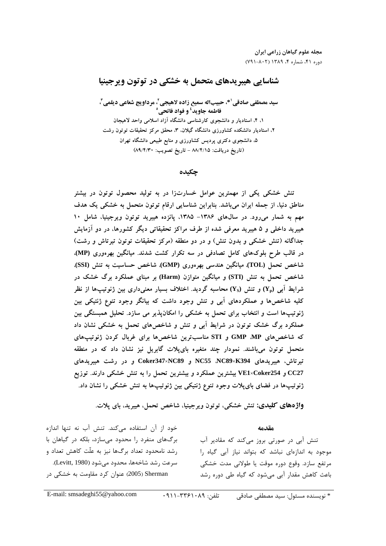# شناسایی هیبریدهای متحمل به خشکی در توتون ویرجینیا

سيد مصطفى صادقى<sup>51</sup>، حبيباله سميع زاده لاهيجى<sup>7</sup>، مرداويج شعاعى ديلمى<sup>7</sup>، فاطمه جاويد<sup>؛</sup> و فواد فاتحي° ۱، ۴، استادیار و دانشجوی کارشناسی دانشگاه آزاد اسلامی واحد لاهیجان ۲، استادیار دانشکده کشاورزی دانشگاه گیلان، ۳، محقق مرکز تحقیقات توتون رشت ۵، دانشجوی دکتری پردیس کشاورزی و منابع طبیعی دانشگاه تهران (تاريخ دريافت: ٨٨/٤/١٥ - تاريخ تصويب: ٨٩/٤/٣٠)

چکیده

تنش خشکی یکی از مهمترین عوامل خسارتزا در به تولید محصول توتون در بیشتر مناطق دنیا، از جمله ایران میباشد. بنابراین شناسایی ارقام توتون متحمل به خشکی یک هدف مهم به شمار میرود. در سالهای ۱۳۸۶- ۱۳۸۵، پانزده هیبرید توتون ویرجینیا، شامل ۱۰ هیبرید داخلی و ۵ هیبرید معرفی شده از طرف مراکز تحقیقاتی دیگر کشورها، در دو آزمایش جداگانه (تنش خشکی و بدون تنش) و در دو منطقه (مرکز تحقیقات توتون تیرتاش و رشت) در قالب طرح بلوکهای کامل تصادفی در سه تکرار کشت شدند. میانگین بهرهوری (MP)، شاخص تحمل (TOL). میانگین هندسی بهرهوری (GMP). شاخص حساسیت به تنش (SSI). شاخص تحمل به تنش (STI) و میانگین متوازن (Harm) بر مبنای عملکرد برگ خشک در شرایط آبی  $\rm(Y_p)$  و تنش  $\rm(Y_S)$  محاسبه گردید. اختلاف بسیار معنیداری بین ژنوتیپها از نظر کلیه شاخصها و عملکردهای آبی و تنش وجود داشت که بیانگر وجود تنوع ژنتیکی بین ژنوتیپها است و انتخاب برای تحمل به خشکی را امکانپذیر می سازد. تحلیل همبستگی بین عملکرد برگ خشک توتون در شرایط آبی و تنش و شاخص های تحمل به خشکی نشان داد که شاخصهای GMP MP و STI مناسب ترین شاخصها برای غربال کردن ژنوتیپهای متحمل توتون میباشند. نمودار چند متغیره بایپلات گابریل نیز نشان داد که در منطقه تیرتاش، هیبریدهای NC55 NC89×K394 و Coker347×NC89 و در رشت هیبریدهای CC27 و VE1×Coker254 بیشترین عملکرد و بیشترین تحمل را به تنش خشکی دارند. توزیع ژنوتیپها در فضای بایپلات وجود تنوع ژنتیکی بین ژنوتیپها به تنش خشکی را نشان داد.

واژههای کلیدی: تنش خشکی، توتون ویرجینیا، شاخص تحمل، هیبرید، بای پلات.

مقدمه

تنش آبی در صورتی بروز میکند که مقادیر آب موجود به اندازهای نباشد که بتواند نیاز آبی گیاه را مرتفع سازد. وقوع دوره موقت يا طولاني مدت خشكي باعث کاهش مقدار آبی می شود که گیاه طی دوره رشد

خود از آن استفاده میکند. تنش آب نه تنها اندازه برگ های منفرد را محدود می سازد، بلکه در گیاهان با رشد نامحدود تعداد برگها نیز به علّت کاهش تعداد و سرعت رشد شاخهها، محدود می شود (Levitt, 1980). Sherman (2005) عنوان کرد مقاومت به خشکی در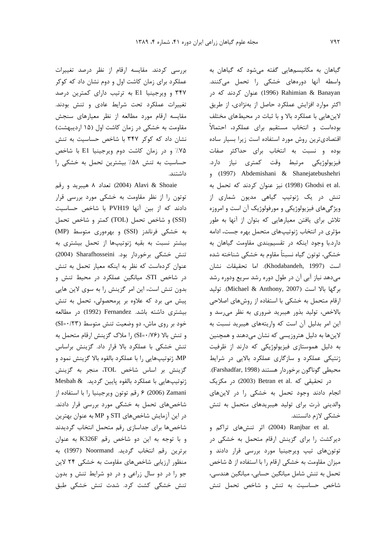بررسی کردند. مقایسه ارقام از نظر درصد تغییرات عملکرد برای زمان کاشت اول و دوم نشان داد که کوکر ۳۴۷ و ویرجینیا E1 به ترتیب دارای کمترین درصد تغییرات عملکرد تحت شرایط عادی و تنش بودند. مقایسه ارقام مورد مطالعه از نظر معیارهای سنجش مقاومت به خشکی در زمان کاشت اول (۱۵ اردیبهشت) نشان داد که کوکر ۳۴۷ با شاخص حساسیت به تنش ۷۵٪ و در زمان کاشت دوم ویرجینیا E1 با شاخص حساسیت به تنش ۵۸٪ بیشترین تحمل به خشکی را داشتند.

تعداد ٨ هيبريد و رقم (2004) Alavi & Shoaie توتون را از نظر مقاومت به خشکی مورد بررسی قرار دادند که از بین آنها PVH19 با شاخص حساسیت (SSI) و شاخص تحمل (TOL) كمتر و شاخص تحمل به خشکی فرناندز (SSI) و بهرهوری متوسط (MP) بیشتر نسبت به بقیه ژنوتیپها از تحمل بیشتری به تنش خشکی برخوردار بود. Sharafhosseini (2004) عنوان کردهاست که نظر به اینکه معیار تحمل به تنش در شاخص STI، میانگین عملکرد در محیط تنش و بدون تنش است، این امر گزینش را به سوی لاین هایی پیش می برد که علاوه بر پرمحصولی، تحمل به تنش بیشتری داشته باشد. Fernandez (1992) در مطالعه خود بر روی ماش، دو وضعیت تنش متوسط (SI=٠/٢٣) و تنش بالا (SI=٠/٧۶) را ملاک گزینش ارقام متحمل به تنش خشکی با عملکرد بالا قرار داد. گزینش براساس MP، ژنوتیپهایی را با عملکرد بالقوه بالا گزینش نمود و گزینش بر اساس شاخص TOL، منجر به گزینش ژنوتیپهایی با عملکرد بالقوه پایین گردید. Mesbah & Zamani (2006) ۶ رقم توتون ويرجينيا را با استفاده از شاخصهای تحمل به خشکی مورد بررسی قرار دادند. در این آزمایش شاخصهای STI و MP به عنوان بهترین شاخصها براى جداسازى رقم متحمل انتخاب گرديدند وبا توجه به اين دو شاخص رقم K326F به عنوان برترين رقم انتخاب گرديد. Noormand (1997) به منظور ارزیابی شاخصهای مقاومت به خشکی ۲۴ لاین جو را در دو سال زراعی و در دو شرایط تنش و بدون تنش خشکی کشت کرد. شدت تنش خشکی طبق

گیاهان به مکانیسمهایی گفته میشود که گیاهان به واسطه آنها دورههای خشکی را تحمل میکنند. ر (1996) Rahimian & Banayan (1996) عنوان كردند كه در اکثر موارد افزایش عملکرد حاصل از بهنژادی، از طریق لاینهایی با عملکرد بالا و با ثبات در محیطهای مختلف بودهاست و انتخاب مستقیم برای عملکرد، احتمالاً اقتصادى ترين روش مورد استفاده است زيرا بسيار ساده بوده و نسبت به انتخاب برای حداکثر صفات فیزیولوژیکی مرتبط وقت کمتری نیاز دارد. (1997) Abdemishani & Shanejatebushehri .Ghodsi et al (1998) نيز عنوان كردند كه تحمل به تنش در یک ژنوتیپ گیاهی مدیون شماری از ویژگیهای فیزیولوژیکی و مورفولوژیک آن است و امروزه تلاش برای یافتن معیارهایی که بتوان از آنها به طور مؤثری در انتخاب ژنوتیپهای متحمل بهره جست، ادامه دارد.با وجود اینکه در تقسیمبندی مقاومت گیاهان به خشکی، توتون گیاه نسبتاً مقاوم به خشکی شناخته شده است (Khodabandeh, 1997). اما تحقيقات نشان می دهد نیاز آبی آن در طول دوره رشد سریع ودوره رشد برگها بالا است (Michael & Anthony, 2007). توليد ارقام متحمل به خشکی با استفاده از روشهای اصلاحی بالاخص، تولید بذور هیبرید ضروری به نظر می رسد و این امر بدلیل آن است که واریتههای هیبرید نسبت به لاینها به دلیل هتروزیسی که نشان میدهند و همچنین به دلیل هموستازی فیزیولوژیکی که دارند از ظرفیت ژنتیکی عملکرد و سازگاری عملکرد بالایی در شرایط محيطي گوناگون برخوردار هستند (Farshadfar, 1998). در تحقیقی که .Betran et al (2003) در مکزیک انجام دادند وجود تحمل به خشکی را در لاینهای والدینی ذرت برای تولید هیبریدهای متحمل به تنش خشکی لازم دانستند.

.Ranjbar et al (2004) اثر تنش@ای تراکم و دیرکشت را برای گزینش ارقام متحمل به خشکی در توتونهای تیپ ویرجینیا مورد بررسی قرار دادند و میزان مقاومت به خشکی ارقام را با استفاده از ۵ شاخص تحمل به تنش شامل میانگین حسابی، میانگین هندسی، شاخص حساسیت به تنش و شاخص تحمل تنش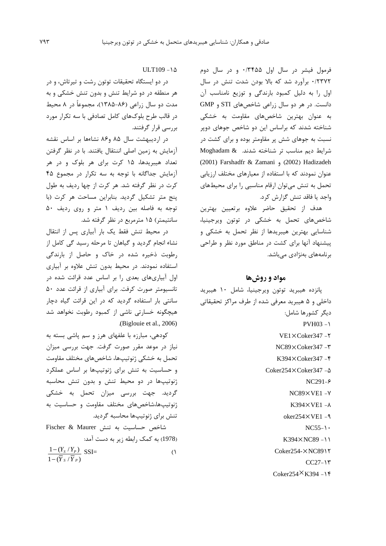فرمول فیشر در سال اول ۳۴۵۵/۰ و در سال دوم ۰/۲۳۷۲ برآورد شد که بالا بودن شدت تنش در سال اول را به دلیل کمبود بارندگی و توزیع نامناسب آن دانست. در هر دو سال زراعی شاخصهای STI و GMP به عنوان بهترین شاخصهای مقاومت به خشکی شناخته شدند که براساس این دو شاخص جوهای دویر نسبت به جوهای شش پر مقاومتر بوده و برای کشت در شرايط ديم مناسب تر شناخته شدند. Moghadam & (2001) Farshadfr & Zamani (2002) Hadizadeh عنوان نمودند که با استفاده از معیارهای مختلف ارزیابی تحمل به تنش می توان ارقام مناسبی را برای محیطهای واجد يا فاقد تنش گزارش كرد.

هدف از تحقيق حاضر علاوه برتعيين بهترين شاخصهای تحمل به خشکی در توتون ویرجینیا، شناسایی بهترین هیبریدها از نظر تحمل به خشکی و ییشنهاد آنها برای کشت در مناطق مورد نظر و طراحی برنامەھای بەنژادی مے باشد.

### مواد و روشها

پانزده هیبرید توتون ویرجینیا، شامل ۱۰ هیبرید داخلي و ۵ هيبريد معرفي شده از طرف مراكز تحقيقاتي ديگر كشورها شامل:

- $PVH03 Y$
- VE1×Coker347-Y
- $NC89\times Coker347 T$
- $K394 \times \text{Coker}347 -$
- Coker254×Coker347-A
	- $NC291-\epsilon$
	- $NC89\times VE1 Y$
	- $K394\times VE1 \lambda$
	- $oker254\times$ VE1 -9
		- $NC55-\$
	- $K394 \times NCS9 11$
	- Coker254-XNC891Y
		- $CC27-17$
	- $Coker254\times K394 Y$

 $ULT109 - 1\Delta$ 

در دو ایستگاه تحقیقات توتون رشت و تیرتاش، و در هر منطقه در دو شرایط تنش و بدون تنش خشکی و به مدت دو سال زراعی (۸۶–۱۳۸۵)، مجموعاً در ۸ محیط در قالب طرح بلوکهای کامل تصادفی با سه تکرار مورد بررسی قرار گرفتند.

در اردیبهشت سال ۸۵ و۸۶ نشاءها بر اساس نقشه آزمایش به زمین اصلی اننتقال یافتند. با در نظر گرفتن تعداد هیبریدها، ۱۵ کرت برای هر بلوک و در هر آزمایش جداگانه با توجه به سه تکرار در مجموع ۴۵ کرت در نظر گرفته شد. هر کرت از چها ردیف به طول ينج متر تشكيل گرديد. بنابراين مساحت هر كرت (با توجه به فاصله بين رديف ١ متر و روى رديف ٥٠ سانتیمتر) ۱۵ مترمربع در نظر گرفته شد.

در محیط تنش فقط یک بار آبیاری پس از انتقال نشاء انجام گردید و گیاهان تا مرحله رسید گی کامل از رطوبت ذخیره شده در خاک و حاصل از بارندگی استفاده نمودند. در محیط بدون تنش علاوه بر آبیاری اول آبیاریهای بعدی را بر اساس عدد قرائت شده در تانسیومتر صورت کرفت. برای آبیاری از قرائت عدد ۵۰ سانتی بار استفاده گردید که در این قرائت گیاه دچار هیچگونه خسارتی ناشی از کمبود رطوبت نخواهد شد (Biglouie et al., 2006).

کودهی، مبارزه با علفهای هرز و سم پاشی بسته به نیاز در موعد مقرر صورت گرفت. جهت بررسی میزان تحمل به خشکی ژنوتیپها، شاخصهای مختلف مقاومت و حساسیت به تنش برای ژنوتیپها بر اساس عملکرد ژنوتیپها در دو محیط تنش و بدون تنش محاسبه گردید. جهت بررسی میزان تحمل به خشکی ژنوتیپها،شاخصهای مختلف مقاومت و حساسیت به تنش برای ژنوتیپها محاسبه گردید. شاخص حساسیت به تنش Fischer & Maurer

(1978) به کمک رابطه زیر به دست آمد:

 $\frac{1-(Y_s/Y_p)}{1-(\overline{Y}_s/\overline{Y}_p)}$  SSI=  $\bigcap$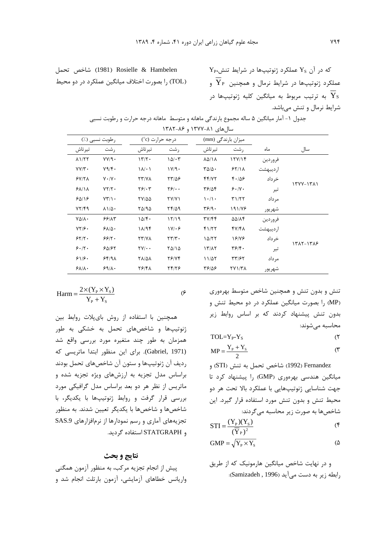که در آن 
$$
Y_s
$$
 عملکرد ژنوتیپها در شرایط تنش $Y_p$   
عملکرد ژنوتیپها در شرایط نرمال و همچنین  $\overline{Y}_F$   
به ترتیب مربوط به میانگین کلیه ژنوتیپها در  
شرایط نرمال و تنش میباشد.

|           |           |                                        | میزان بارندگی (mm)                   |                                        | درجه حرارت (c°)          | رطوبت نسبی (./)                    |                           |
|-----------|-----------|----------------------------------------|--------------------------------------|----------------------------------------|--------------------------|------------------------------------|---------------------------|
| سال       | ماه       | , شت                                   | تير تاش                              | , شت                                   | تيرتاش                   | , شت                               | تيرتاش                    |
|           | فروردين   | 15Y/15                                 | $\lambda\Delta/\lambda$              | $10/\cdot 7$                           | 177.                     | YY/9.                              | $\lambda$ $1/\tau$ $\tau$ |
|           | ار دیبهشت | 55/11                                  | $T\Delta/\Delta$ .                   | 1V/9                                   | $\lambda/\cdot$          | Y9/F.                              | $YY/Y$ .                  |
| ۱۳۷۷-۱۳۸۱ | خرداد     | 4.18                                   | f f/Y                                | 77/08                                  | YY/Y                     | $V \cdot / V \cdot$                | 5Y/Y                      |
|           | تير       | 9.1                                    | 38/04                                | $\mathbf{Y}$ $\mathbf{S}$ $\cdot$      | $Y$ $9' \cdot Y$         | $YY/Y$ .                           | 51/11                     |
|           | مر داد    | T1/T                                   | $\langle \cdot/\rangle$              | YY/Y                                   | <b>TY/00</b>             | $YY/\rightarrow$                   | 90118                     |
|           | شهريور    | 191/78                                 | $\mathbf{Y}$ $\mathbf{S}/\mathbf{Y}$ | $Yf/\Delta q$                          | 80/90                    | $\lambda \frac{\lambda}{\Delta}$ . | YY/F9                     |
|           | فروردين   | <b>AAILF</b>                           | ۳۷/۴۴                                | 17/19                                  | 10/F                     | ۶۶/۸۳                              | $Y\Delta/\Lambda$ .       |
|           | ار دیبهشت | $fV/f\lambda$                          | 41/۲۲                                | $1V/\cdot F$                           | 11/95                    | $S$ $\Lambda/\Delta$ .             | $YY/\epsilon$ .           |
|           | خر داد    | 18178                                  | 10/77                                | $\mathbf{Y} \mathbf{Y} / \mathbf{Y}$ . | <b>TT/VA</b>             | 99/7.                              | 55/7.                     |
| 1385-1388 | تير       | $\mathbf{Y}$ $\mathbf{S}/\mathbf{Y}$ . | 17/17                                | 70/10                                  | $\Upsilon V/\cdot \cdot$ | 50/57                              | 9.17.                     |
|           | مر داد    | ۳۳/۶۲                                  | 11/27                                | 28/74                                  | <b>TA/QA</b>             | 55/9                               | 81/8.                     |
|           | شهريور    | <b>٢٧١/٣٨</b>                          | 38187                                | 24/26                                  | 78/41                    | 59/1.                              | $S_{\lambda}/\lambda$     |

$$
Harm = \frac{2 \times (Y_{P} \times Y_{S})}{Y_{P} + Y_{S}}
$$

$$
f_{\rm{max}}
$$

 $(5)$ 

همچنین با استفاده از روش بایپلات روابط بین ژنوتیپها و شاخصهای تحمل به خشکی به طور همزمان به طور چند متغیره مورد بررسی واقع شد (Gabriel, 1971). برای این منظور ابتدا ماتریسی که رديف آن ژنوتيپها و ستون آن شاخصهاي تحمل بودند براساس مدل تجزیه به ارزشهای ویژه تجزیه شده و ماتریس از نظر هر دو بعد براساس مدل گرافیکی مورد بررسی قرار گرفت و روابط ژنوتیپها با یکدیگر، با شاخصها و شاخصها با یکدیگر تعیین شدند. به منظور تجزیههای آماری و رسم نمودارها از نرمافزارهای SAS.9 و STATGRAPH استفاده گردید.

#### نتايج و بحث

پیش از انجام تجزیه مرکب، به منظور آزمون همگنی واریانس خطاهای آزمایشی، آزمون بارتلت انجام شد و تنش و بدون تنش و همچنین شاخص متوسط بهرهوری (MP) را بصورت میانگین عملکرد در دو محیط تنش و بدون تنش پیشنهاد کردند که بر اساس روابط زیر محاسبه مے شوند:

$$
TOL=Y_{P^-}Y_S \tag{7}
$$

$$
MP = \frac{Y_{P} + Y_{S}}{2}
$$
 (7)

Fernandez (1992) شاخص تحمل به تنش (STI) و میانگین هندسی بهرهوری (GMP) را پیشنهاد کرد تا جهت شناسایی ژنوتیپهایی با عملکرد بالا تحت هر دو محیط تنش و بدون تنش مورد استفاده قرار گیرد. این شاخصها به صورت زیر محاسبه می گردند:

$$
STI = \frac{(Y_{\rm p})(Y_{\rm s})}{(\overline{Y}_{\rm p})^2}
$$
 (f)

$$
GMP = \sqrt{Y_{P} \times Y_{S}}
$$
 (  $\Delta$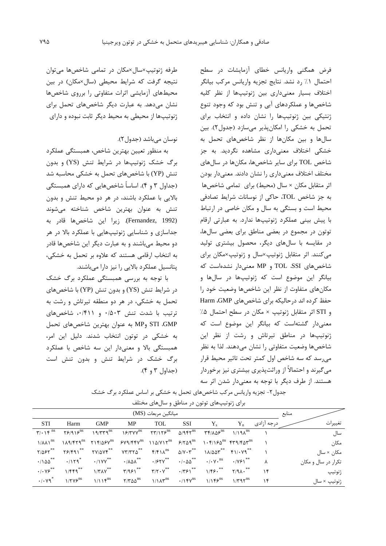فرض همگنی واریانس خطای آزمایشات در سطح احتمال ١٪ رد نشد. نتايج تجزيه واريانس مركب بيانگر اختلاف بسيار معنى دارى بين ژنوتيپها از نظر كليه شاخصها و عملکردهای آبی و تنش بود که وجود تنوع ژنتیکی بین ژنوتیپها را نشان داده و انتخاب برای تحمل به خشکی را امکان پذیر میسازد (جدول۲). بین سالها و بین مکانها از نظر شاخصهای تحمل به خشکی اختلاف معنیداری مشاهده نگردید. به جز شاخص TOL برای سایر شاخصها، مکانها در سالهای مختلف اختلاف معنىداري را نشان دادند. معنىدار بودن اثر متقابل مکان × سال (محیط) برای تمامی شاخصها به جز شاخص TOL، حاكى از نوسانات شرايط تصادفى محیط است و بستگی به سال و مکان خاصی در ارتباط با پیش بینی عملکرد ژنوتیپها ندارد. به عبارتی ارقام توتون در مجموع در بعضی مناطق برای بعضی سالها، در مقایسه با سالهای دیگر، محصول بیشتری تولید می کنند. اثر متقابل ژنوتیپ×سال و ژنوتیپ×مکان برای شاخصهای SSI، TOL و MP معنىدار نشدهاست كه بیانگر این موضوع است که ژنوتیپها در سالها و مکانهای متفاوت از نظر این شاخصها وضعیت خود را حفظ کرده اند درحالیکه برای شاخصهای Harm ،GMP و STI اثر متقابل ژنوتیپ × مکان در سطح احتمال ۵٪ معنى دار گشتهاست كه بيانگر اين موضوع است كه ژنوتیپها در مناطق تیرتاش و رشت از نظر این شاخصها وضعيت متفاوتي را نشان مىدهند. لذا به نظر می,رسد که سه شاخص اول کمتر تحت تاثیر محیط قرار میگیرند و احتمالاً از وراثتپذیری بیشتری نیز برخوردار هستند. از طرف دیگر با توجه به معنی دار شدن اثر سه

طرفه ژنوتیپ×سال×مکان در تمامی شاخصها میتوان نتیجه گرفت که شرایط محیطی (سال×مکان) در بین محیطهای آزمایشی اثرات متفاوتی را برروی شاخصها نشان میدهد. به عبارت دیگر شاخصهای تحمل برای ژنوتیپها از محیطی به محیط دیگر ثابت نبوده و دارای

## نوسان مے باشد (جدول ٢).

به منظور تعيين بهترين شاخص، همبستگي عملكرد برگ خشک ژنوتیپها در شرایط تنش (YS) و بدون تنش (YP) با شاخصهای تحمل به خشکی محاسبه شد (جداول ۳ و ۴). اساساً شاخصهایی که دارای همبستگی بالایی با عملکرد باشند، در هر دو محیط تنش و بدون تنش به عنوان بهترین شاخص شناخته می,شوند (Fernandez, 1992). زيرا اين شاخصها قادر به جداسازی و شناسایی ژنوتیپهایی با عملکرد بالا در هر دو محیط میباشند و به عبارت دیگر این شاخصها قادر به انتخاب ارقامی هستند که علاوه بر تحمل به خشکی، یتانسیل عملکرد بالایی را نیز دارا میباشند.

با توجه به بررسی همبستگی عملکرد برگ خشک در شرایط تنش (YS) و بدون تنش (YP) با شاخصهای تحمل به خشکی، در هر دو منطقه تیرتاش و رشت به ترتیب با شدت تنش ۰/۵۰۳ و ۰/۴۱۱، شاخصهای STI GMP وMP به عنوان بهترين شاخصهاى تحمل به خشکی در توتون انتخاب شدند. دلیل این امر، همبستگی بالا و معنیدار این سه شاخص با عملکرد برگ خشک در شرایط تنش و بدون تنش است (جداول ۳ و ۴).

جدول۲- تجزیه واریانس مرکب شاخصهای تحمل به خشکی بر اساس عملکرد برگ خشک برای ژنوتیپهای توتون در مناطق و سالهای مختلف

|                                                 |                             |                                                         | منابع                                                                                                                                      |                                             |                                                      |                                                          |                                |            |  |                     |
|-------------------------------------------------|-----------------------------|---------------------------------------------------------|--------------------------------------------------------------------------------------------------------------------------------------------|---------------------------------------------|------------------------------------------------------|----------------------------------------------------------|--------------------------------|------------|--|---------------------|
| <b>STI</b>                                      | Harm                        | <b>GMP</b>                                              | MP                                                                                                                                         | <b>TOL</b>                                  | <b>SSI</b>                                           | $Y_{s}$                                                  | $Y_n$                          | درجه آزادی |  | تغييرات             |
| $\mathbf{Y}/\cdot$ 1 $\mathbf{Y}$ <sup>ns</sup> | ۲۶/۹۱۶ $s^{\text{ns}}$      | $19/579^{ns}$                                           |                                                                                                                                            | $15/7VV^{ns}$ $77/175^{ns}$                 | $\Delta$ /957 <sup>ns</sup>                          | $\mathsf{r}\mathsf{r}\wedge\Delta\mathsf{r}^{\text{ns}}$ | $1/19\lambda$ <sup>ns</sup>    |            |  | سال                 |
| $1/\lambda\lambda1^{ns}$                        |                             |                                                         | $1.14$ /۴۲۹ $^{ns}$ ۲۱۴/۵۶۷ $^{ns}$ <i>SV</i> ۹/۴۴۷ $^{ns}$ 11۵/V1۲ $^{ns}$ <i>S/</i> ۲۵۹ $^{ns}$ 1.۴/1 <i>6</i> ۵ $^{ns}$ f۳۹/۴۵۳ $^{ns}$ |                                             |                                                      |                                                          |                                |            |  | مكان                |
| $Y/\Delta \xi Y$                                | $Y$ $Z$ $Y$ $Y$ $Y$         | $\mathsf{YY}/\mathsf{\Delta }\mathsf{Y}\mathsf{F}^{**}$ | $YY/YY\Delta$ <sup>**</sup> $Y/Y\Lambda^{ns}$                                                                                              |                                             | $\delta/V \cdot \gamma^{**}$                         | $1\lambda/\Delta\Delta\Upsilon^{**}$                     | $f \wedge (\cdot \vee q^{**})$ |            |  | _مکان × سال         |
| $\cdot$ /100**                                  | $\cdot$ /179 $^*$           | $\cdot$ /\YY <sup>**</sup>                              | $\cdot$ / $\Lambda$ ۵ $\Lambda$ **                                                                                                         | $\cdot$ /۶۲۷ $^{**}$                        | $\cdot$ / $\cdot$ $\Delta \Delta$ $^{**}$            | $\cdot/\cdot \vee \cdot^{\text{ns}}$                     | $\cdot$ /Y۶ $\gamma^{**}$      | λ          |  | تکرار در سال و مکان |
| .1.19                                           | $1/FFq^{**}$                | $1/TAY**$                                               | $\mathbf{y}/951$                                                                                                                           | $\mathbf{r}/\mathbf{r}\cdot\mathbf{v}^{**}$ | $\cdot$ /٣۶١ $^{\ast\ast}$                           | 1/5.                                                     | $Y/9\Lambda$ .                 | ۱۴         |  | ژنوتيپ              |
| $\cdot$ / $\cdot$ Y9 <sup>*</sup>               | $1/\tau\gamma\epsilon^{ns}$ | $1/115$ <sup>ns</sup>                                   | $Y/Y$ ۵۵ $^{ns}$                                                                                                                           |                                             | $1/\lambda \Upsilon^{ns}$ . $\Upsilon \Upsilon^{ns}$ | $1/155^{ns}$                                             | $1/\tau q \gamma^{ns}$         | ۱۴         |  | ژنوتيپ × سال        |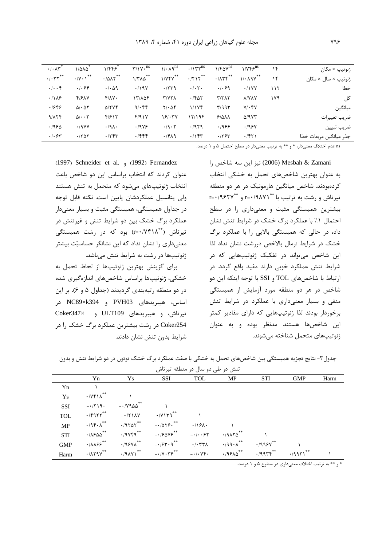| ژنوتيپ × مكان          | ۱۴  | $1/\gamma$ ۴۶ $^{ns}$  | $1/F\Delta V^{ns}$                | $\cdot$ / $\gamma^{\text{ns}}$ | $1/\cdot \text{A}^{\text{ns}}$ | $\Upsilon/\Upsilon \cdot$ <sup>ns</sup> | 1/FF5                        | $1/\Delta\lambda\Delta$           | $\overline{\cdot}/\cdot\Lambda\Upsilon^*$ |
|------------------------|-----|------------------------|-----------------------------------|--------------------------------|--------------------------------|-----------------------------------------|------------------------------|-----------------------------------|-------------------------------------------|
| ژنوتیپ × سال × مکان    | ۱۴  | $1/0.19V^{**}$         | $\cdot$ $/$                       | $\cdot$ /۲۱۲ <sup>**</sup>     | $1/VPV$ <sup>**</sup>          | $1/T\Lambda\Delta$ **                   | $\cdot$ /017 $^{**}$         | $\cdot$ /Y $\cdot$ \**            | $\cdot$ / $\cdot$ $\uparrow$ $\uparrow$   |
| خطا                    | ۱۱۲ | .11YY                  | .1.99                             | $\cdot$ / $\cdot$ $\cdot$      | .759                           | .119Y                                   | $\cdot$ / $\cdot$ $\Delta$ 9 | .1.84                             | $\cdot \mid \cdot \cdot \infty$           |
| کل                     | ۱۷۹ | <b>A/YAY</b>           | $\mathbf{r}/\mathbf{r}$           | .7607                          | <b>TIVYA</b>                   | ۱۳/۸۵۴                                  | $f/\lambda V$                | 4/61V                             | .11A9                                     |
| ميانگين                |     | $Y/\cdot Y$            | $\mathbf{y}/\mathbf{q}\mathbf{y}$ | 1/1Yf                          | $Y/\cdot \Delta f$             | 9/656                                   | $\Delta$ /۲۷۴                | $\Delta/\cdot\Delta\Upsilon$      | .1889                                     |
| ضريب تغييرات           |     | $\Delta$ /9 $\gamma$ ۳ | 51011                             | ۱۲/۱۹۴                         | 18/17V                         | f/91V                                   | 4/612                        | $\Delta$ / $\cdot$ $\cdot$ $\tau$ | 9/174                                     |
| ضريب تبيين             |     | .198V                  | .1999                             | .7979                          | .19.7                          | .1999                                   | $\cdot$ /9 $\Lambda$ .       | .19YY                             | .1980                                     |
| جذر ميانگين مربعات خطا |     | .751                   | .795                              | $.11$ ۴۳                       | .1919                          | .7888                                   | .755                         | .780                              | $\cdot$ / $\cdot$ $\epsilon$ $\tau$       |
|                        |     |                        |                                   |                                |                                |                                         |                              |                                   |                                           |

ns عدم اختلاف معنىدار، \* و \*\* به ترتيب معنىدار در سطح احتمال ۵ و ۱ درصد.

ا نيز اين سه شاخص را (2006) i (2006) نيز اين سه شاخص به عنوان بهتابن شاخص های تحمل به خشکی انتخاب ک دەبەدند. شاخص مىانگىن ھارمونىک د. ھ. دە منطقە  $r = \cdot$ /٩۶۲٧ " و  $r = \cdot/9.4$ ۰/۹۸۷۱ "  $r = \cdot/9.8$  و  $r = \cdot/9.8$ ۲ بیشترین همبستگی مثبت و معنیداری را در سطح احتمال ۱٪ با عملکرد برگ خشک در شرایط تنش نشان داد، در حالی که همبستگی بالایی را با عملکرد برگ خشک د. شایط نرمال بالاخص در شت نشان نداد لذا ابن شاخص می<sup>ت</sup>واند د. تفکیک ژنوتیبهایی که د. .<br>ن .<br>شرایط تنش عملکرد خوبی دارند مفید واقع گردد. در ارتباط با شاخصهای TOL و SSI با توجه اینکه این دو .<br>شاخص در هر دو منطقه مورد آزمایش از همبستگی منفی و بسیار معنیداری با عملکرد در شرایط تنش ن خوردار بودند لذا ژنوتیبهایی که دارای مقادیر کمتر <u>:</u> ابن شاخصها هستند مدنظ بوده و به عنوان .<br>ژنوتیپهای متحمل شناخته میشوند. .<br>ن

(1997) Schneider et al. <sub>9</sub> (1992) Fernandez عنوان کردند که انتخاب داساس این ده شاخص باعث .<br>نتخاب ژنوتیپهای م<sub>ی</sub>شود که متحمل به تنش هستند <u>:</u> , ولي بتانسيان عملک دشان بابين است. نکته قابل توجه در جداول همبستگی، همبستگی مثبت و بسیار معنی دار عملکرد برگ خشک بین دو شرایط تنش و غیرتنش در تیرتاش (\*\*r=۰/۷۴۱۸) بود که در رشت همبستگی معنی داری را نشان نداد که این نشانگ چساستت پیشتر ژنوتیپها در رشت به شرایط تنش میباشد. .<br>ن

.<br>براي گزينش بهترين ژنوتيپها از لحاظ تحمل به .<br>د .<br>خشکی، ژنوتیبها براساس شاخصهای اندازهگیری شده .<br>ن د. دو منطقه ، تيەيند*ى ، گ*ادېدند (جداول ۵ و ۶). پر اين اساس، هیبریدهای PVH03 و NC89×k394 در  $Coker347\times$  ULT109 و  $Coker347\times$ Coker254 در رشت بیشترین عملکرد برگ خشک را در شرايط بدون تنش نشان دادند.

جدول۳- نتایج تجزیه همبستگی بین شاخصهای تحمل به خشکی با صفت عملکرد برگ خشک توتون در دو شرایط تنش و بدون

|            |                                                        |                        |                                                                                                                                             | تنش در طی دو سال در منطقه تیرتاش |                                                                           |                |                             |      |
|------------|--------------------------------------------------------|------------------------|---------------------------------------------------------------------------------------------------------------------------------------------|----------------------------------|---------------------------------------------------------------------------|----------------|-----------------------------|------|
|            | Yn                                                     | Ys                     | SSI                                                                                                                                         | TOL                              | MP                                                                        | STI            | <b>GMP</b>                  | Harm |
| Yn         |                                                        |                        |                                                                                                                                             |                                  |                                                                           |                |                             |      |
| Ys         | $\cdot$ / $\gamma$ $\gamma$ $\wedge$ $\ast$            |                        |                                                                                                                                             |                                  |                                                                           |                |                             |      |
| <b>SSI</b> | $-1719$                                                | $-10.00$               |                                                                                                                                             |                                  |                                                                           |                |                             |      |
| <b>TOL</b> |                                                        | $-(5955^{**} - (7140)$ | $\cdot$ / $V$ ) $V$ 9 $**$                                                                                                                  |                                  |                                                                           |                |                             |      |
| <b>MP</b>  | $\cdot$ /9 $\mathfrak{f} \cdot \Lambda$ **             |                        | $\cdot$ /9505** $ \cdot$ /05 $\cdot$ **                                                                                                     | $\cdot$ /161.                    |                                                                           |                |                             |      |
| <b>STI</b> | $\cdot$ / $\lambda$ ۶۵۵ $^{\ast\ast}$                  |                        | $\cdot$ /9 $V$ 99 <sup>**</sup> - $\cdot$ / $\frac{\partial V}{\partial V}$ <sup>**</sup> - $\cdot$ / $\cdot \frac{\partial V}{\partial V}$ |                                  | $\cdot$ /9170 <sup>**</sup>                                               |                |                             |      |
| <b>GMP</b> | $\cdot$ / $\Lambda\Lambda$ ۶۶ $^{\ast\ast}$            | $\cdot$ /9871 $^{**}$  | $ \cdot$ / $54$ $\cdot$ 9 <sup>**</sup>                                                                                                     | . / . TTA                        | $\cdot$ /99 $\cdot \wedge$ **                                             | $4.1998V^{**}$ |                             |      |
| Harm       | $\cdot$ $/$ $\wedge$ $\wedge$ $\vee$ $\wedge$ $\wedge$ |                        | $\cdot$ /918 $\vee$ $\cdot$ $^*$ $- \cdot$ $\vee$ $\cdot$ $\uparrow$ $\varphi$ $^*$ $^*$ $- \cdot$ $\vee$ $\uparrow$ $\cdot$                |                                  | $\cdot$ /9 $\epsilon$ 10 <sup>**</sup> $\cdot$ /99 $\tau$ ۴ <sup>**</sup> |                | $\cdot$ /997) <sup>**</sup> |      |

\* و \*\* به ترتیب اختلاف معنیداری در سطوح ۵ و ۱ درصد.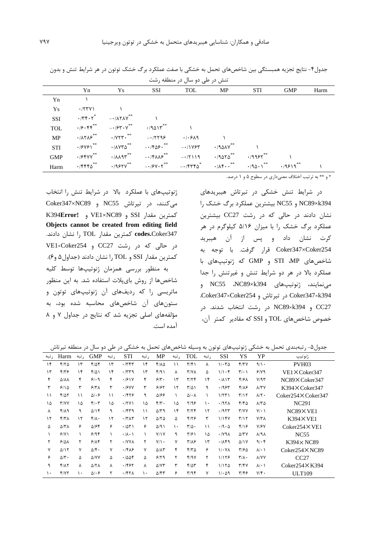|            |                                       |                                                                   |                                                                                                                                                                            | ینش در طی دو سال در منطقه رسب |                       |                       |             |      |
|------------|---------------------------------------|-------------------------------------------------------------------|----------------------------------------------------------------------------------------------------------------------------------------------------------------------------|-------------------------------|-----------------------|-----------------------|-------------|------|
|            | Yn                                    | Ys                                                                | SSI                                                                                                                                                                        | TOL                           | MP                    | <b>STI</b>            | <b>GMP</b>  | Harm |
| Yn         |                                       |                                                                   |                                                                                                                                                                            |                               |                       |                       |             |      |
| Ys         | $\cdot$ /۲۳۷۱                         |                                                                   |                                                                                                                                                                            |                               |                       |                       |             |      |
| SSI        |                                       | $\cdot$ /٣۴٠٢ <sup>*</sup> - $\cdot$ / $\wedge$ ۲۸۷ <sup>**</sup> |                                                                                                                                                                            |                               |                       |                       |             |      |
| <b>TOL</b> |                                       | $\cdot$ $/5.55$ $+$ $/57.5$ $/$                                   | $\cdot$ /94 $\lambda$ ۳ $^{**}$                                                                                                                                            |                               |                       |                       |             |      |
| MP         | $\cdot$ / $\Lambda$ ۲ $\Lambda$ ۶ $*$ |                                                                   |                                                                                                                                                                            | . / . 519                     |                       |                       |             |      |
| <b>STI</b> | $\cdot$ /۶۷۶۱ $*$                     | $\cdot$ / $\Lambda$ $Y \circ$ $\circ$ $\circ$ $\circ$             | $-1505 \cdot 200$ $-1107$                                                                                                                                                  |                               | $\cdot$ /901 $v^{**}$ |                       |             |      |
| <b>GMP</b> | $\cdot$ /۶۴۷۷**                       |                                                                   | $\cdot$ / $\wedge$ $\wedge$ 9 $\curlyeq$ $\overset{***}{\sim}$ $- \cdot$ / $\uparrow$ $\wedge \wedge \varphi$ $\overset{***}{\sim}$ $- \cdot$ / $\uparrow$ $\wedge$ $\vee$ |                               | $\cdot$ /9070**       | $\cdot$ /995۲ $^{**}$ |             |      |
| Harm       | $\cdot$ /۴۴۴۵                         |                                                                   | $\cdot$ /95YV** --/5Y $\cdot$ Y** --/5YFBa* $\cdot$ /AF $\cdot$ ** $\cdot$ /9a $\cdot$ 1*                                                                                  |                               |                       |                       | $.19519***$ |      |

جدول۴- نتایج تجزیه همبستگی بین شاخصهای تحمل به خشکی با صفت عملکرد برگ خشک توتون در هر شرایط تنش و بدون

\* و \*\* به ترتیب اختلاف معنیداری در سطوح ۵ و ۱ درصد.

در شرایط تنش خشکی در تیرتاش هیبریدهای NC89×k394 و NC55 بيشترين عملكرد برگ خشک را نشان دادند در حالی که در رشت CC27 بیشترین عملکرد برگ خشک را با میزان ۵/۱۶ کیلوگرم در هر کرت نشان داد و پس از آن هیبرید Coker347×Coker254 قرار گرفت. با توجه به شاخصهای STI ،MP و GMP که ژنوتیپهای با عملکرد بالا در هر دو شرایط تنش و غیرتنش را جدا مى نمايند، ژنوتيپ هاى NC55 ،NC89×k394 و Coker347×k394 در تيرتاش و Coker347×Coker254. CC27 و NC89×k394 در رشت انتخاب شدند. در خصوص شاخصهای TOL و SSI که مقادیر کمتر آن،

ژنوتیپهای با عملکرد بالا در شرایط تنش را انتخاب میکنند، در تیرتاش NC55 و Coker347×NC89 K394Error! و VE1×NC89 و VE1×NC89 Objects cannot be created from editing field codes.Coker347 كمترين مقدار TOL را نشان دادند. در حالی که در رشت CC27 و VE1×Coker254 كمترين مقدار SSI و TOL را نشان دادند (جداول ۵ و۶). به منظور بررسی همزمان ژنوتیپها توسط کلیه شاخصها از روش بای بلات استفاده شد. به این منظور ماتریسی را که ردیفهای آن ژنوتیپهای توتون و ستونهای آن شاخصهای محاسبه شده بود، به مؤلفههای اصلی تجزیه شد که نتایج در جداول ٧ و ٨ آمده است.

جدول۵- رتبهبندی تحمل به خشکی ژنوتیپهای توتون به وسیله شاخصهای تحمل به خشکی در طی دو سال در منطقه تیرتاش

| , تبه       | Harm                  | ر تبه | <b>GMP</b>              | ر تبه | <b>STI</b>            | ر تبه | MP                      | ر تبه | TOL                       | ر تبه    | SSI                        | YS                      | YP                       | ژنوتيپ                    |
|-------------|-----------------------|-------|-------------------------|-------|-----------------------|-------|-------------------------|-------|---------------------------|----------|----------------------------|-------------------------|--------------------------|---------------------------|
| ۱۴          | Y/Y                   | ۱۳    | $f/\Delta f$            | ۱۳    | .775                  | ۱۴    | $f/\lambda \Delta$      | ۱۱    | $\mathbf{r}/\mathbf{r}$   | Υ        | $1/\cdot 70$               | f/YV                    | $9/1$ .                  | PVH <sub>03</sub>         |
| $\gamma$    | ۴۱۳۶                  | ۱۴    | $f/\Delta$              | ۱۴    | .779                  | ۱۳    | f(9)                    | Υ     | $Y/Y\Lambda$              | ۵        | 1/1.5                      | $\mathbf{Y}/\cdot$      | 5/19                     | $VE1 \times Coker347$     |
| ۴           | <b>A/A/A</b>          | ۴     | 9.9                     | ۴     | .191V                 | ۴     | $5/\tau$ .              | ۱۳    | T/Tf                      | ۱۴       | .711                       | ۴۱۶۸                    | Y/95                     | NC89×Coker347             |
| ٣           | 9/10                  | ٣     | $517\lambda$            | ٣     | .19YY                 | ٣     | 9198                    | ۱۲    | $\Gamma/\Delta$           | ٩        | .1984                      | $f/\lambda$ ۶           | $\lambda$ /٣٧            | $K394 \times Coker347$    |
| $\setminus$ | $f/\Delta Y$          | ۱۱    | $\Delta$ . $\epsilon$   | ۱۱    | .1979                 | ٩     | 9310                    |       | $\Delta/\cdot \Lambda$    |          | 1/571                      | $\mathbf{r}/\mathbf{r}$ | $\Lambda/\Upsilon$ .     | $Coker254\times Coker347$ |
| ۱۵          | Y/YY                  | ۱Δ    | $f(\cdot)$              | ۱۵    | .7Y                   | ۱۵    | $f/\tau$ .              | ۱۵    | Y/99                      | ١٠       | .197 <sub>A</sub>          | $f/f_0$                 | $\Lambda/\Upsilon\Delta$ | <b>NC291</b>              |
| ٨           | $f/\lambda$ 9         | ٩     | $\Delta/\Gamma$         | ٩     | .759                  | ۱۱    | $\Delta$ /۳۹            | ۱۴    | $\tau/\tau$               | $\gamma$ | .7957                      | Y/YY                    | $Y/\cdot$ \              | $NC89\times VE1$          |
| ۱۲          | f/T                   | ۱۲    | $f/\lambda$ .           | ۱۲    | $\cdot$ /۳ $\wedge$ ۳ | ۱۲    | $\Delta/\Upsilon\Delta$ | ۵     | $F/Y$ ۶                   | ٣        | 1/18V                      | $\mathbf{r}/\mathbf{r}$ | Y/Y                      | $K394 \times VE1$         |
| ۵           | $\Delta$ /۳ $\Lambda$ | ۶     | ۵۱۶۴                    | ۶     | .7051                 | ۶     | $\Delta$ /9)            | ۱۰    | $\mathbf{r}/\mathbf{r}$ . | ۱۱       | $\cdot$ /9 $\cdot$ $\circ$ | ۴۱۱۶                    | V/FV                     | $Coker254\times VE1$      |
|             | 9/1                   |       | 919                     |       | $\cdot/\lambda \cdot$ |       | Y/ Y                    | ٩     | $\mathbf{Y}$ /۶)          | ١۵       | $\cdot$ /y 9 $\wedge$      | $\Delta$ /۳ $V$         | $\lambda$ /۹ $\lambda$   | <b>NC55</b>               |
|             | 510 <sub>h</sub>      | ٢     | 9/19                    |       | $\cdot$ /YYA          | ٢     | $Y/\rightarrow$         | ٧     | $Y/\lambda$ ۶             | $\gamma$ | .71                        | $\Delta/1V$             | 9.6                      | $K394 \times NC89$        |
| ٧           | $\Delta/\Gamma$       | ٧     | $\Delta/\mathfrak{F}$ . | ٧     | .1919                 | ٧     | $\Delta/\Lambda\tau$    | ۴     | $f/T\Delta$               | ۶        | $1/\cdot Y$                | ۳۱۶۵                    | $\lambda$ $\cdot$ \      | $Coker254\times NC89$     |
| ۶           | $\Delta/\Upsilon$ .   | Δ     | A/VV                    | Δ     | .7008                 | Δ     | 9/79                    | ٢     | Y/9V                      | ٢        | 11188                      | $\Upsilon/\Lambda$ .    | <b>A/YY</b>              | CC27                      |
| ٩           | $f/\lambda$           | Υ     | <b>A/TA</b>             | Λ     | .1987                 | ٨     | $\Delta$ / $\Upsilon$   | ٣     | $f/\Delta r$              | ۴        | 1/150                      | Y/Y                     | $\lambda$ / $\cdot$ \    | $Coker254\times K394$     |
| ۱۰          | Y/YY                  | ١٠    | $\Delta/\cdot\hat{r}$   | ۲     | .751                  | ١.    | $\Delta$ /۴۳            | ۶     | $\mathbf{r}/\mathbf{q}$   | ٧        | $1/\cdot \Delta$ 9         | ۳۱۴۶                    | $Y/\mathfrak{f}$ .       | <b>ULT109</b>             |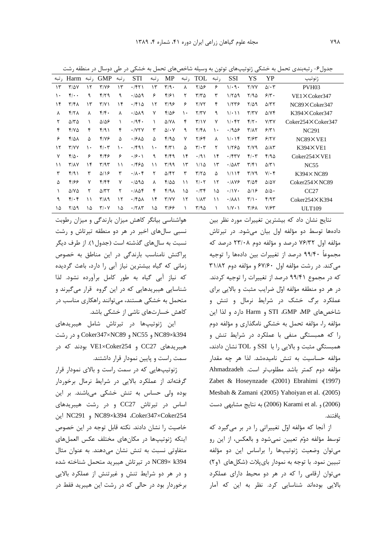جدول ۶- , تبەيندى تحمل بە خشكے , ژنوتىپ،ھاى توتون بە وسىلە شاخص ھاى تحمل بە خشكى در طى دوسال در منطقە , شت

| , تبه | Harm                       | ر تبه | <b>GMP</b>                        | ر تبه | <b>STI</b>              | ر تبه | <b>MP</b>                 | ر تبه | TOL                          | ر تبه | <b>SSI</b>                  | YS                             | YP                   | ژنوتيپ                    |
|-------|----------------------------|-------|-----------------------------------|-------|-------------------------|-------|---------------------------|-------|------------------------------|-------|-----------------------------|--------------------------------|----------------------|---------------------------|
| ۱۳    | $T/\Delta V$               | ۱۲    | $Y/Y$ ۶                           | ۱۳    | .751                    | ۱۳    | $\mathbf{r}/\mathbf{q}$ . | ٨     | $Y/\Delta P$                 | ۶     | $1/\cdot$ 9.                | <b>Y/YY</b>                    | $\Delta/\cdot 7$     | PVH03                     |
| ۱۰    | $f(\cdot)$                 | ٩     | $f/\gamma$                        | ٩     | .7009                   | ۶     | f/5                       | ٢     | $\tau/\tau$ $\vartriangle$   | ٣     | 1/509                       | ۲/۹۵                           | $5/\tilde{r}$ .      | $VE1 \times Coker347$     |
| ۱۴    | $\mathbf{r}/\mathbf{r}$    | ۱۳    | $\Upsilon/\Upsilon$               | ۱۴    | $\cdot$ /۴۱۵            | ۱۲    | $\mathbf{y}/\mathbf{q}$   | ۶     | Y/YY                         | ۴     | 1/779                       | 7/29                           | $\Delta$ /۳۲         | NC89×Coker347             |
| Λ     | Y/Y                        | λ     | f/f.                              | Λ     | .7019                   | ٧     | 8/25                      | ۱۰    | Y/YY                         | ٩     | 1/21                        | $\mathbf{r}/\mathbf{r}$        | $\Delta$ / $Y$ ۴     | $K394 \times Coker347$    |
|       | $\Delta/\Upsilon\Delta$    |       | $\Delta/\Delta$ ۶                 |       | .795.                   |       | $\Delta$ /YA              | ۴     | $\mathbf{Y}/\mathbf{V}$      | ٧     | 1.65                        | $f/\gamma$ .                   | Y/YY                 | $Coker254\times Coker347$ |
| ۴     | Y/Y                        | ۴     | f/91                              | ۴     | $\cdot$ / $\vee$ $\vee$ | ٣     | $\Delta/\cdot V$          | ٩     | $Y/F\Lambda$                 | ١٠    | .1909                       | $\mathbf{r}/\mathbf{r}$        | 5/5                  | NC <sub>291</sub>         |
| ۶     | 4/08                       | ۵     | ۴۱۷۶                              | ۵     | $\cdot$ /۶۸۵            | ۵     | 4/90                      | ٧     | Y/Ff                         | ٨     | $1/\cdot 14$                | $\mathbf{r}/\mathbf{r}$        | 9/7V                 | $NC89\times VE1$          |
| ۱۲    | Y/YY                       | ۱۰    | $f(\cdot)$                        | ١٠    | $\cdot$ /۴۹۱            | ۱۰    | $f/\tau$                  | ۵     | $\mathbf{r}/\cdot\mathbf{r}$ | ۲     | 1/280                       | $Y/Y$ ۹                        | $\Delta/\Lambda\tau$ | $K394 \times VF1$         |
| ٧     | $f/\Delta$ .               | ۶     | $f/\mathfrak{f}$                  | ۶     | $\cdot$ /9 $\cdot$ )    | ٩     | f/fq                      | ۱۴    | $\cdot$ /9)                  | ۱۴    | $.$ /۴۳۷                    | $f(\cdot)$                     | ۴/۹۵                 | $Coker254\times VE1$      |
| ۱۱    | $\Upsilon/\Lambda\Upsilon$ | ۱۴    | $\mathbf{r}/\mathbf{a}\mathbf{r}$ | ۱۱    | ۱۴۶۵                    | ۱۱    | $\Gamma/99$               | ۱۳    | 1/10                         | ۱۳    | $\cdot$ /0 $\wedge\uparrow$ | $\Gamma/\Gamma$                | $\Delta/\Upsilon$    | NC55                      |
| ٣     | f(9)                       | ٣     | $\Delta/\Omega$                   | ٣     | $\cdot/\lambda\cdot f$  | ٢     | $\Delta$ /۴۲              | ٣     | $\tau/\tau\Delta$            | ۵     | 1/11                        | $\mathbf{y} \times \mathbf{y}$ | $Y/\cdot f$          | $K394 \times NCS9$        |
| ۵     | ۴۱۶۶                       | ٧     | f/ff                              | ٧     | .7090                   | λ     | 4100                      | ۱۱    | $Y/\cdot Y$                  | ۱۲    | $\cdot$ / $\wedge$ Y&       | $T/\Delta f$                   | $\Delta/\Delta V$    | $Coker254\times NC89$     |
|       | $\Delta$ /Y $\Delta$       | ۲     | $\Delta$ /۳۲                      |       | .708                    | ۴     | 4/98                      | ۱۵    | $\cdot$ /۳۴                  | ۱۵    | $\cdot/\gamma$              | $\Delta/\sqrt{2}$              | $\Delta/\Delta$ .    | CC27                      |
| ٩     | $f(\cdot)$                 | ۱۱    | $P/\lambda$                       | ۱۲    | $\cdot$ /۴۵۸            | ۱۴    | Y/YY                      | ۱۲    | $1/\lambda$ ۳                | ۱۱    | $\cdot$ / $\wedge\wedge$    | $\mathbf{r}/\mathbf{v}$ .      | ۴/۹۳                 | $Coker254\times K394$     |
| ۱۵    | $Y/\Delta$ 9               | ۱۵    | $Y/\cdot Y$                       | ١۵    | $\cdot$ /٢ $\wedge$ ۳   | ۱۵    | ۳۱۶۶                      |       | 470                          |       | $1/Y \cdot 1$               | ۳/۶۸                           | ۷۱۶۳                 | <b>ULT109</b>             |

نتایج نشان داد که بیشترین تغییرات مورد نظر بین دادهها توسط دو مؤلفه اول بيان مى شود. در تيرتاش مؤلفه اول ۷۶/۳۲ درصد و مؤلفه دوم ۲۳/۰۸ درصد که مجموعاً ۹۹/۴۰ درصد از تغییرات بین دادهها را توجیه می کند. در رشت مؤلفه اول ۶۷/۶۰ و مؤلفه دوم ۳۱/۸۲ که در مجموع ۹۹/۴۱ درصد از تغییرات را توجیه کردند. در هر دو منطقه مؤلفه اوّل ضرایب مثبت و بالایی برای عملکرد برگ خشک در شرایط نرمال و تنش و شاخصهای STI ،GMP ،MP و Harm دارد و لذا این مؤلفه را، مؤلفه تحمل به خشکی نامگذاری و مؤلفه دوم را که همبستگی منفی با عملکرد در شرایط تنش و همبستگی مثبت و بالایی را با SSI و TOL نشان دادند، مؤلفه حساسیت به تنش نامیدهشد. لذا هر چه مقدار مؤلفه دوم كمتر باشد مطلوبتر است. Ahmadzadeh Zabet & Hoseynzade (2001) Ebrahimi (1997) Mesbah & Zamani (2005) Yahoiyan et al. (2005) (2006) و Karami et al. (2006) به نتايج مشابهي دست ىافتند.

از آنجا که مؤلفه اوّل تغییراتی را در بر میگیرد که توسط مؤلفه دوّم تعیین نمیشود و بالعکس، از این رو می توان وضعیت ژنوتیپها را براساس این دو مؤلفه تبیین نمود. با توجه به نمودار بایپلات (شکلهای ۱و۲) می توان ارقامی را که در هر دو محیط دارای عملکرد بالایی بودهاند شناسایی کرد. نظر به این که آمار

هواشناسی بیانگر کاهش میزان بارندگی و میزان رطوبت نسبی سال های اخیر در هر دو منطقه تیرتاش و رشت نسبت به سالهای گذشته است (جدول ۱). از طرف دیگر پراکنش نامناسب بارندگی در این مناطق به خصوص زمانی که گیاه بیشترین نیاز آبی را دارد، باعث گردیده که نیاز آبی گیاه به طور کامل برآورده نشود. لذا شناسایی هیبریدهایی که در این گروه قرار می گیرند و متحمل به خشکی هستند، می توانند راهکاری مناسب در کاهش خسارتهای ناشی از خشکی باشد.

این ژنوتیپها در تیرتاش شامل هیبریدهای NC89×k394 و NC55 و Coker347×NC89 و در رشت هیبریدهای CC27 و VE1×Coker254 بودند که در سمت راست و پایین نمودار قرار داشتند.

ژنوتیپهایی که در سمت راست و بالای نمودار قرار گرفتهاند از عملکرد بالایی در شرایط نرمال برخوردار بوده ولی حساس به تنش خشکی میباشند. بر این اساس در تیرتاش CC27 و در رشت هیبریدهای NC291 و NC89×k394 ،Coker347×Coker254 اين خاصیت را نشان دادند. نکته قابل توجه در این خصوص اینکه ژنوتیپها در مکانهای مختلف عکس العملهای متفاوتی نسبت به تنش نشان می دهند. به عنوان مثال NC89× k394 در تيرتاش هيبريد متحمل شناخته شده و در هر دو شرایط تنش و غیرتنش از عملکرد بالایی برخوردار بود در حالی که در رشت این هیبرید فقط در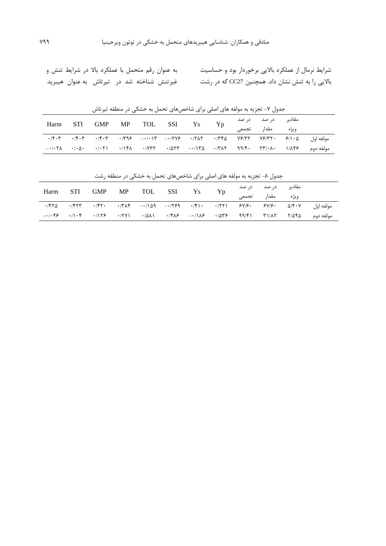.<br>شرایط نرمال از عملکرد بالایی برخوردار بود و حساسیت به عنوان رقم متحمل با عملکرد بالا در شرایط تنش و .<br>بالایی را به تنش نشان داد. همچنین CC27 که در رشت غیرتنش شناخته شد در تیرتاش به عنوان هیبرید

|      |            | <u>U</u>                                                                             |            |    |    |                         |      |           |
|------|------------|--------------------------------------------------------------------------------------|------------|----|----|-------------------------|------|-----------|
| Harm | <b>STI</b> | GMP                                                                                  | MP TOL SSI | Ys | Yp | مقادیر درصد درصد        |      |           |
|      |            |                                                                                      |            |    |    | مقدار تجمع <sub>ه</sub> | ويژه |           |
|      |            | مولفه اول ۲۰/۹/۹ ۷۶/۳۲ ۷۶/۳۲۰ ۲۳۹۶ - ۲۰۱۲ ۲۰/۲۷۶ - ۲۰۱۲ ۲۳۸۶ - ۲۰/۴۰۳ ۰/۴۰۳ - ۲۰/۴۰۳ |            |    |    |                         |      |           |
|      |            |                                                                                      |            |    |    |                         |      | مولفه دوم |

جدول ۷- تجزیه به مولفه های اصلی برای شاخصهای تحمل به خشکی در منطقه تیرتاش

| جناول ٧٠- تجربه به موسه های اصلی برای ساخصهای تحمل به حسنی در منطقه رست |       |  |  |                |  |                                                                            |    |       |                  |       |                                                                              |  |
|-------------------------------------------------------------------------|-------|--|--|----------------|--|----------------------------------------------------------------------------|----|-------|------------------|-------|------------------------------------------------------------------------------|--|
| Harm                                                                    | - STI |  |  | GMP MP TOL SSI |  | Ys                                                                         | Yp |       | مقادیر درصد درصد |       |                                                                              |  |
|                                                                         |       |  |  |                |  |                                                                            |    | تجمعے | مقدار            | ويژه  |                                                                              |  |
| $\cdot$ /۴۲۵                                                            |       |  |  |                |  |                                                                            |    |       |                  |       | مولفه اول ۱۴۶۷، ۱۳۶۰ - ۱۳۶۶، ۱۳۲۱، ۱۴۱۰، ۱۳۶۹، ۱۳۸۴– ۱۳۸۴، ۱۳۸۴– ۱۴۲۰، ۱۴۲۳، |  |
|                                                                         |       |  |  |                |  | $-i$ $+75$ $-i$ $i$ $+75$ $+771$ $+201$ $+761$ $-116$ $-116$ $+207$ $-107$ |    |       |                  | ۲/۵۴۵ | مولفه دوم                                                                    |  |

جدول ۸- تجزیه به مولفه های اصلی برای شاخصهای تحمل به خشکی در منطقه رشت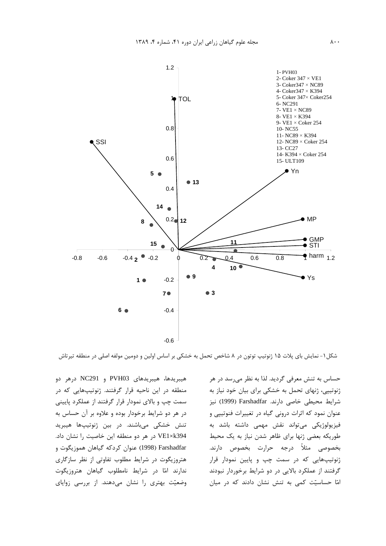

شکل۱- نمایش بای پلات ۱۵ ژنوتیپ توتون در ۸ شاخص تحمل به خشکی بر اساس اولین و دومین مولفه اصلی در منطقه تیرتاش

هیبریدها، هیبریدهای PVH03 و NC291 درهر دو منطقه در این ناحیه قرار گرفتند. ژنوتیپهایی که در سمت چپ و بالای نمودار قرار گرفتند از عملکرد پایینی در هر دو شرایط برخودار بوده و علاوه بر آن حساس به تنش خشکی میباشند. در بین ژنوتیپها هیبرید VE1×k394 در هر دو منطقه این خاصیت را نشان داد. Farshadfar (1998) عنوان کردکه گیاهان هموزیگوت و هتروزیگوت در شرایط مطلوب تفاوتی از نظر سازگاری ندارند امّا در شرایط نامطلوب گیاهان هتروزیگوت وضعیّت بهتری را نشان میدهند. از بررسی زوایای

حساس به تنش معرفی گردید. لذا به نظر میرسد در هر ژنوتییی، ژنهای تحمل به خشکی برای بیان خود نیاز به شرايط محيطي خاصي دارند. Farshadfar (1999) نيز عنوان نمود که اثرات درونی گیاه در تغییرات فنوتیپی و فیزیولوژیکی میتواند نقش مهمی داشته باشد به طوریکه بعضی ژنها برای ظاهر شدن نیاز به یک محیط بخصوصي مثلاً درجه حرارت بخصوص دارند. ژنوتیپهایی که در سمت چپ و پایین نمودار قرار گرفتند از عملکرد بالایی در دو شرایط برخوردار نبودند امّا حساسیّت کمی به تنش نشان دادند که در میان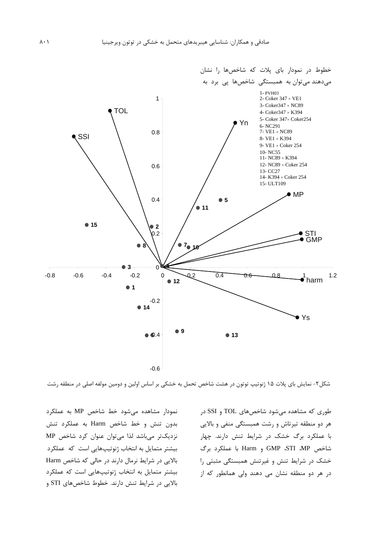

شکل۲- نمایش بای پلات ۱۵ ژنوتیپ توتون در هشت شاخص تحمل به خشکی بر اساس اولین و دومین مولفه اصلی در منطقه رشت

نمودار مشاهده می شود خط شاخص MP به عملکرد بدون تنش وخط شاخص Harm به عملکرد تنش نزدیکتر می باشد لذا می توان عنوان کرد شاخص MP بیشتر متمایل به انتخاب ژنوتیپهایی است که عملکرد بالایی در شرایط نرمال دارند در حالی که شاخص Harm بیشتر متمایل به انتخاب ژنوتیپهایی است که عملکرد بالایی در شرایط تنش دارند. خطوط شاخصهای STI و

طوری که مشاهده میشود شاخصهای TOL و SSI در هر دو منطقه تیرتاش و رشت همبستگی منفی و بالایی با عملکرد برگ خشک در شرایط تنش دارند. چهار شاخص GMP STI ،MP و Harm با عملکرد برگ خشک در شرایط تنش و غیرتنش همبستگی مثبتی را در هر دو منطقه نشان می دهند ولی همانطور که از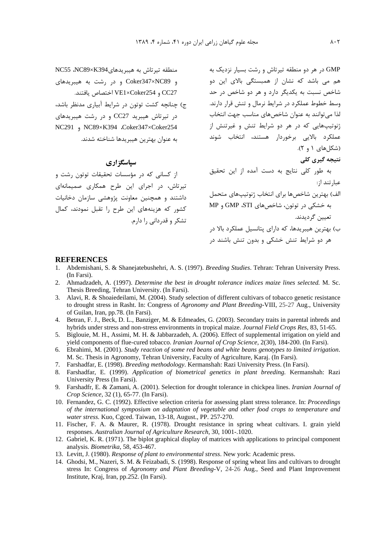GMP در هر دو منطقه تیرتاش و رشت بسیار نزدیک به هم می باشد که نشان از همبستگی بالای این دو ں ریسیستی بادی این دو ۔<br>شاخص نسبت به یکدیگر دارد و هر دو شاخص در حد وسط خطوط عملکرد در شرایط نرمال و تنش قرار دارند. لذا میتوانند به عنوان شاخصهای مناسب جهت انتخاب ژنوتیپهایی که در هر دو شرایط تنش و غیرتنش از عملكرد بالايي برخوردار هستند، انتخاب شوند (شکل های ۱ و ۲). نتیجه گیری کلی به طور کلی نتایج به دست آمده از این تحقیق عبا, تند ا;: الف) بهترين شاخصها براي انتخاب ژنوتيپهاي متحمل به خشکی در توتون، شاخصهای GMP ،STI و MP

> ب) بهترین هیبریدها، که دارای پتانسیل عملکرد بالا در هر دو شرایط تنش خشکی و بدون تنش باشند در

تعيين گرديدند.

#### **REFERENCES**

منطقه تيرتاش به هيبريدهاي NC55 ،NC89×K394

در تیرتاش هیبرید CC27 و در رشت هیبریدهای

NC291, NC89×K394 .Coker347×Coker254

سیاسگزاری

تیرتاش، در اجرای این طرح همکاری صمیمانهای

داشتند و همچنین معاونت پژوهشی سازمان دخانیات

کشور که هزینههای این طرح را تقبل نمودند، کمال

تشکر و قدردانی را دارم.

از کسانی که در مؤسسات تحقیقات توتون رشت و

و Coker347×NC89 و در رشت به هیبریدهای

CC27 و VE1×Coker254 اختصاص بافتند.

ج) چنانچه کشت توتون در شرایط آبیاری مدنظر باشد،

يه عنوان بهترين هيبريدها شناخته شدند.

- 1. Abdemishani, S. & Shanejatebushehri, A. S. (1997). Breeding Studies. Tehran: Tehran University Press. (In Farsi).
- Ahmadzadeh, A. (1997). Determine the best in drought tolerance indices maize lines selected. M. Sc.  $2.$ Thesis Breeding, Tehran University. (In Farsi).
- 3. Alavi, R. & Shoaiedeilami, M. (2004). Study selection of different cultivars of tobacco genetic resistance to drought stress in Rasht. In: Congress of Agronomy and Plant Breeding-VIII, 25-27 Aug., University of Guilan, Iran, pp.78. (In Farsi).
- 4. Betran, F. J., Beck, D. L., Banziger, M. & Edmeades, G. (2003). Secondary traits in parental inbreds and hybrids under stress and non-stress environments in tropical maize. Journal Field Crops Res, 83, 51-65.
- 5. Biglouie, M. H., Assimi, M. H. & Jabbarzadeh, A. (2006). Effect of supplemental irrigation on yield and yield components of flue-cured tobacco. *Iranian Journal of Crop Science*, 2(30), 184-200. (In Farsi).
- 6. Ebrahimi, M. (2001). Study reaction of some red beans and white beans genotypes to limited irrigation. M. Sc. Thesis in Agronomy, Tehran University, Faculty of Agriculture, Karaj. (In Farsi).
- 7. Farshadfar, E. (1998). Breeding methodology. Kermanshah: Razi University Press. (In Farsi).
- 8. Farshadfar, E. (1999). Application of biometrical genetics in plant breeding. Kermanshah: Razi University Press (In Farsi).
- 9. Farshadfr, E. & Zamani, A. (2001). Selection for drought tolerance in chickpea lines. *Iranian Journal of* Crop Science, 32 (1), 65-77. (In Farsi).
- 10. Fernandez, G. C. (1992). Effective selection criteria for assessing plant stress tolerance. In: *Proceedings* of the international symposium on adaptation of vegetable and other food crops to temperature and water stress. Kuo, Cgced. Taiwan, 13-18, August., PP. 257-270.
- 11. Fischer, F. A. & Maurer, R. (1978). Drought resistance in spring wheat cultivars. I. grain yield responses. Australian Journal of Agriculture Research, 30, 1001-.1020.
- 12. Gabriel, K. R. (1971). The biplot graphical display of matrices with applications to principal component analysis. Biometrika, 58, 453-467.
- 13. Levitt, J. (1980). Response of plant to environmental stress. New york: Academic press.
- 14. Ghodsi, M., Nazeri, S. M. & Feizabadi, S. (1998). Response of spring wheat lins and cultivars to drought stress In: Congress of Agronomy and Plant Breeding-V, 24-26 Aug., Seed and Plant Improvement Institute, Kraj, Iran, pp.252. (In Farsi).